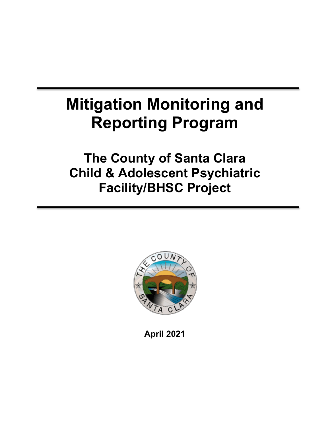## **Mitigation Monitoring and Reporting Program**

**The County of Santa Clara Child & Adolescent Psychiatric Facility/BHSC Project**



**April 2021**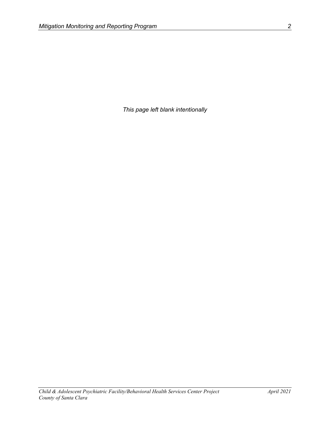*This page left blank intentionally*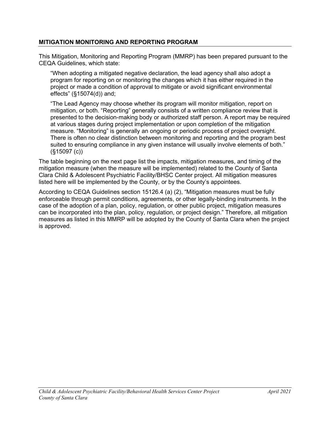## **MITIGATION MONITORING AND REPORTING PROGRAM**

This Mitigation, Monitoring and Reporting Program (MMRP) has been prepared pursuant to the CEQA Guidelines, which state:

"When adopting a mitigated negative declaration, the lead agency shall also adopt a program for reporting on or monitoring the changes which it has either required in the project or made a condition of approval to mitigate or avoid significant environmental effects" (§15074(d)) and;

"The Lead Agency may choose whether its program will monitor mitigation, report on mitigation, or both. "Reporting" generally consists of a written compliance review that is presented to the decision-making body or authorized staff person. A report may be required at various stages during project implementation or upon completion of the mitigation measure. "Monitoring" is generally an ongoing or periodic process of project oversight. There is often no clear distinction between monitoring and reporting and the program best suited to ensuring compliance in any given instance will usually involve elements of both." (§15097 (c))

The table beginning on the next page list the impacts, mitigation measures, and timing of the mitigation measure (when the measure will be implemented) related to the County of Santa Clara Child & Adolescent Psychiatric Facility/BHSC Center project. All mitigation measures listed here will be implemented by the County, or by the County's appointees.

According to CEQA Guidelines section 15126.4 (a) (2), "Mitigation measures must be fully enforceable through permit conditions, agreements, or other legally-binding instruments. In the case of the adoption of a plan, policy, regulation, or other public project, mitigation measures can be incorporated into the plan, policy, regulation, or project design." Therefore, all mitigation measures as listed in this MMRP will be adopted by the County of Santa Clara when the project is approved.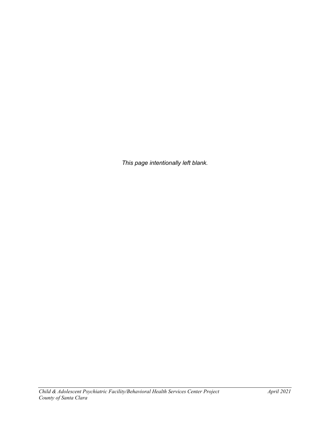*This page intentionally left blank.*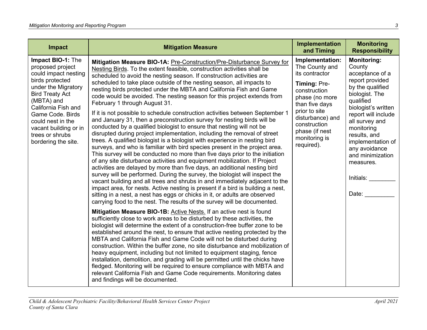| <b>Impact</b>                                                                                                                                                                                                                                                                      | <b>Mitigation Measure</b>                                                                                                                                                                                                                                                                                                                                                                                                                                                                                                                                                                                                                                                                                                                                                                                                                                                                                                                                                                                                                                                                                                                                                                                                                                                                                                                                                                                                                                                                                                                                                                                                                                                                         | Implementation<br>and Timing                                                                                                                                                                                                  | <b>Monitoring</b><br><b>Responsibility</b>                                                                                                                                                                                                                                                                                  |
|------------------------------------------------------------------------------------------------------------------------------------------------------------------------------------------------------------------------------------------------------------------------------------|---------------------------------------------------------------------------------------------------------------------------------------------------------------------------------------------------------------------------------------------------------------------------------------------------------------------------------------------------------------------------------------------------------------------------------------------------------------------------------------------------------------------------------------------------------------------------------------------------------------------------------------------------------------------------------------------------------------------------------------------------------------------------------------------------------------------------------------------------------------------------------------------------------------------------------------------------------------------------------------------------------------------------------------------------------------------------------------------------------------------------------------------------------------------------------------------------------------------------------------------------------------------------------------------------------------------------------------------------------------------------------------------------------------------------------------------------------------------------------------------------------------------------------------------------------------------------------------------------------------------------------------------------------------------------------------------------|-------------------------------------------------------------------------------------------------------------------------------------------------------------------------------------------------------------------------------|-----------------------------------------------------------------------------------------------------------------------------------------------------------------------------------------------------------------------------------------------------------------------------------------------------------------------------|
| Impact BIO-1: The<br>proposed project<br>could impact nesting<br>birds protected<br>under the Migratory<br><b>Bird Treaty Act</b><br>(MBTA) and<br>California Fish and<br>Game Code. Birds<br>could nest in the<br>vacant building or in<br>trees or shrubs<br>bordering the site. | Mitigation Measure BIO-1A: Pre-Construction/Pre-Disturbance Survey for<br>Nesting Birds. To the extent feasible, construction activities shall be<br>scheduled to avoid the nesting season. If construction activities are<br>scheduled to take place outside of the nesting season, all impacts to<br>nesting birds protected under the MBTA and California Fish and Game<br>code would be avoided. The nesting season for this project extends from<br>February 1 through August 31.<br>If it is not possible to schedule construction activities between September 1<br>and January 31, then a preconstruction survey for nesting birds will be<br>conducted by a qualified biologist to ensure that nesting will not be<br>disrupted during project implementation, including the removal of street<br>trees. A qualified biologist is a biologist with experience in nesting bird<br>surveys, and who is familiar with bird species present in the project area.<br>This survey will be conducted no more than five days prior to the initiation<br>of any site disturbance activities and equipment mobilization. If Project<br>activities are delayed by more than five days, an additional nesting bird<br>survey will be performed. During the survey, the biologist will inspect the<br>vacant building and all trees and shrubs in and immediately adjacent to the<br>impact area, for nests. Active nesting is present if a bird is building a nest,<br>sitting in a nest, a nest has eggs or chicks in it, or adults are observed<br>carrying food to the nest. The results of the survey will be documented.<br>Mitigation Measure BIO-1B: Active Nests. If an active nest is found | Implementation:<br>The County and<br>its contractor<br>Timing: Pre-<br>construction<br>phase (no more<br>than five days<br>prior to site<br>disturbance) and<br>construction<br>phase (if nest<br>monitoring is<br>required). | <b>Monitoring:</b><br>County<br>acceptance of a<br>report provided<br>by the qualified<br>biologist. The<br>qualified<br>biologist's written<br>report will include<br>all survey and<br>monitoring<br>results, and<br>implementation of<br>any avoidance<br>and minimization<br>measures.<br>$Initials: \_\_$<br>Date: ___ |
|                                                                                                                                                                                                                                                                                    | sufficiently close to work areas to be disturbed by these activities, the<br>biologist will determine the extent of a construction-free buffer zone to be<br>established around the nest, to ensure that active nesting protected by the<br>MBTA and California Fish and Game Code will not be disturbed during<br>construction. Within the buffer zone, no site disturbance and mobilization of<br>heavy equipment, including but not limited to equipment staging, fence<br>installation, demolition, and grading will be permitted until the chicks have<br>fledged. Monitoring will be required to ensure compliance with MBTA and<br>relevant California Fish and Game Code requirements. Monitoring dates<br>and findings will be documented.                                                                                                                                                                                                                                                                                                                                                                                                                                                                                                                                                                                                                                                                                                                                                                                                                                                                                                                                               |                                                                                                                                                                                                                               |                                                                                                                                                                                                                                                                                                                             |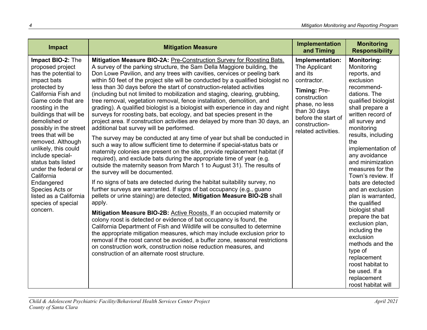| Impact                                                                                                                                                                                                                                                                                                                                                                                                                                                                            | <b>Mitigation Measure</b>                                                                                                                                                                                                                                                                                                                                                                                                                                                                                                                                                                                                                                                                                                                                                                                                                                                                                                                                                                                                                                                                                                                                                                                                                                                                                                                                                                                                                                                                                                                                                                                                                                                                                                                                                                                                                                                                                                                                                                                                               | Implementation<br>and Timing                                                                                                                                                                       | <b>Monitoring</b><br><b>Responsibility</b>                                                                                                                                                                                                                                                                                                                                                                                                                                                                                                                                                                               |
|-----------------------------------------------------------------------------------------------------------------------------------------------------------------------------------------------------------------------------------------------------------------------------------------------------------------------------------------------------------------------------------------------------------------------------------------------------------------------------------|-----------------------------------------------------------------------------------------------------------------------------------------------------------------------------------------------------------------------------------------------------------------------------------------------------------------------------------------------------------------------------------------------------------------------------------------------------------------------------------------------------------------------------------------------------------------------------------------------------------------------------------------------------------------------------------------------------------------------------------------------------------------------------------------------------------------------------------------------------------------------------------------------------------------------------------------------------------------------------------------------------------------------------------------------------------------------------------------------------------------------------------------------------------------------------------------------------------------------------------------------------------------------------------------------------------------------------------------------------------------------------------------------------------------------------------------------------------------------------------------------------------------------------------------------------------------------------------------------------------------------------------------------------------------------------------------------------------------------------------------------------------------------------------------------------------------------------------------------------------------------------------------------------------------------------------------------------------------------------------------------------------------------------------------|----------------------------------------------------------------------------------------------------------------------------------------------------------------------------------------------------|--------------------------------------------------------------------------------------------------------------------------------------------------------------------------------------------------------------------------------------------------------------------------------------------------------------------------------------------------------------------------------------------------------------------------------------------------------------------------------------------------------------------------------------------------------------------------------------------------------------------------|
| Impact BIO-2: The<br>proposed project<br>has the potential to<br>impact bats<br>protected by<br>California Fish and<br>Game code that are<br>roosting in the<br>buildings that will be<br>demolished or<br>possibly in the street<br>trees that will be<br>removed. Although<br>unlikely, this could<br>include special-<br>status bats listed<br>under the federal or<br>California<br>Endangered<br>Species Acts or<br>listed as a California<br>species of special<br>concern. | Mitigation Measure BIO-2A: Pre-Construction Survey for Roosting Bats.<br>A survey of the parking structure, the Sam Della Maggiore building, the<br>Don Lowe Pavilion, and any trees with cavities, cervices or peeling bark<br>within 50 feet of the project site will be conducted by a qualified biologist no<br>less than 30 days before the start of construction-related activities<br>(including but not limited to mobilization and staging, clearing, grubbing,<br>tree removal, vegetation removal, fence installation, demolition, and<br>grading). A qualified biologist is a biologist with experience in day and night<br>surveys for roosting bats, bat ecology, and bat species present in the<br>project area. If construction activities are delayed by more than 30 days, an<br>additional bat survey will be performed.<br>The survey may be conducted at any time of year but shall be conducted in<br>such a way to allow sufficient time to determine if special-status bats or<br>maternity colonies are present on the site, provide replacement habitat (if<br>required), and exclude bats during the appropriate time of year (e.g.<br>outside the maternity season from March 1 to August 31). The results of<br>the survey will be documented.<br>If no signs of bats are detected during the habitat suitability survey, no<br>further surveys are warranted. If signs of bat occupancy (e.g., guano<br>pellets or urine staining) are detected, Mitigation Measure BIO-2B shall<br>apply.<br>Mitigation Measure BIO-2B: Active Roosts. If an occupied maternity or<br>colony roost is detected or evidence of bat occupancy is found, the<br>California Department of Fish and Wildlife will be consulted to determine<br>the appropriate mitigation measures, which may include exclusion prior to<br>removal if the roost cannot be avoided, a buffer zone, seasonal restrictions<br>on construction work, construction noise reduction measures, and<br>construction of an alternate roost structure. | Implementation:<br>The Applicant<br>and its<br>contractor.<br><b>Timing: Pre-</b><br>construction<br>phase, no less<br>than 30 days<br>before the start of<br>construction-<br>related activities. | <b>Monitoring:</b><br>Monitoring<br>reports, and<br>exclusion<br>recommend-<br>dations. The<br>qualified biologist<br>shall prepare a<br>written record of<br>all survey and<br>monitoring<br>results, including<br>the<br>implementation of<br>any avoidance<br>and minimization<br>measures for the<br>Town's review. If<br>bats are detected<br>and an exclusion<br>plan is warranted,<br>the qualified<br>biologist shall<br>prepare the bat<br>exclusion plan,<br>including the<br>exclusion<br>methods and the<br>type of<br>replacement<br>roost habitat to<br>be used. If a<br>replacement<br>roost habitat will |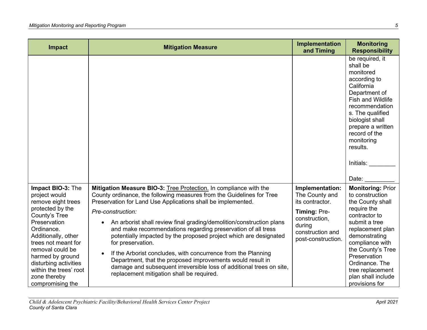| <b>Impact</b>                                                                                                                                                                                                                                                                                            | <b>Mitigation Measure</b>                                                                                                                                                                                                                                                                                                                                                                                                                                                                                                                                                                                                                                                                                             | Implementation<br>and Timing                                                                                                              | <b>Monitoring</b><br><b>Responsibility</b>                                                                                                                                                                                                                                                  |
|----------------------------------------------------------------------------------------------------------------------------------------------------------------------------------------------------------------------------------------------------------------------------------------------------------|-----------------------------------------------------------------------------------------------------------------------------------------------------------------------------------------------------------------------------------------------------------------------------------------------------------------------------------------------------------------------------------------------------------------------------------------------------------------------------------------------------------------------------------------------------------------------------------------------------------------------------------------------------------------------------------------------------------------------|-------------------------------------------------------------------------------------------------------------------------------------------|---------------------------------------------------------------------------------------------------------------------------------------------------------------------------------------------------------------------------------------------------------------------------------------------|
|                                                                                                                                                                                                                                                                                                          |                                                                                                                                                                                                                                                                                                                                                                                                                                                                                                                                                                                                                                                                                                                       |                                                                                                                                           | be required, it<br>shall be<br>monitored<br>according to<br>California<br>Department of<br>Fish and Wildlife<br>recommendation<br>s. The qualified<br>biologist shall<br>prepare a written<br>record of the<br>monitoring<br>results.<br>Initials:<br>Date:                                 |
| Impact BIO-3: The<br>project would<br>remove eight trees<br>protected by the<br>County's Tree<br>Preservation<br>Ordinance.<br>Additionally, other<br>trees not meant for<br>removal could be<br>harmed by ground<br>disturbing activities<br>within the trees' root<br>zone thereby<br>compromising the | Mitigation Measure BIO-3: Tree Protection. In compliance with the<br>County ordinance, the following measures from the Guidelines for Tree<br>Preservation for Land Use Applications shall be implemented.<br>Pre-construction:<br>An arborist shall review final grading/demolition/construction plans<br>and make recommendations regarding preservation of all tress<br>potentially impacted by the proposed project which are designated<br>for preservation.<br>If the Arborist concludes, with concurrence from the Planning<br>Department, that the proposed improvements would result in<br>damage and subsequent irreversible loss of additional trees on site,<br>replacement mitigation shall be required. | Implementation:<br>The County and<br>its contractor.<br>Timing: Pre-<br>construction,<br>during<br>construction and<br>post-construction. | <b>Monitoring: Prior</b><br>to construction<br>the County shall<br>require the<br>contractor to<br>submit a tree<br>replacement plan<br>demonstrating<br>compliance with<br>the County's Tree<br>Preservation<br>Ordinance. The<br>tree replacement<br>plan shall include<br>provisions for |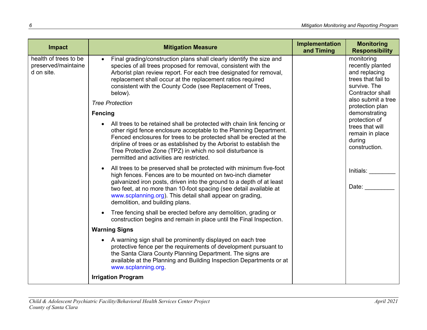| Impact                                                     | <b>Mitigation Measure</b>                                                                                                                                                                                                                                                                                                                                                                             | Implementation<br>and Timing | <b>Monitoring</b><br><b>Responsibility</b>                                                                                      |
|------------------------------------------------------------|-------------------------------------------------------------------------------------------------------------------------------------------------------------------------------------------------------------------------------------------------------------------------------------------------------------------------------------------------------------------------------------------------------|------------------------------|---------------------------------------------------------------------------------------------------------------------------------|
| health of trees to be<br>preserved/maintaine<br>d on site. | Final grading/construction plans shall clearly identify the size and<br>$\bullet$<br>species of all trees proposed for removal, consistent with the<br>Arborist plan review report. For each tree designated for removal,<br>replacement shall occur at the replacement ratios required<br>consistent with the County Code (see Replacement of Trees,<br>below).<br><b>Tree Protection</b>            |                              | monitoring<br>recently planted<br>and replacing<br>trees that fail to<br>survive. The<br>Contractor shall<br>also submit a tree |
|                                                            | <b>Fencing</b>                                                                                                                                                                                                                                                                                                                                                                                        |                              | protection plan<br>demonstrating                                                                                                |
|                                                            | All trees to be retained shall be protected with chain link fencing or<br>other rigid fence enclosure acceptable to the Planning Department.<br>Fenced enclosures for trees to be protected shall be erected at the<br>dripline of trees or as established by the Arborist to establish the<br>Tree Protective Zone (TPZ) in which no soil disturbance is<br>permitted and activities are restricted. |                              | protection of<br>trees that will<br>remain in place<br>during<br>construction.                                                  |
|                                                            | All trees to be preserved shall be protected with minimum five-foot<br>high fences. Fences are to be mounted on two-inch diameter<br>galvanized iron posts, driven into the ground to a depth of at least<br>two feet, at no more than 10-foot spacing (see detail available at<br>www.scplanning.org). This detail shall appear on grading,<br>demolition, and building plans.                       |                              | Initials: $\_\_$<br>Date:                                                                                                       |
|                                                            | Tree fencing shall be erected before any demolition, grading or<br>construction begins and remain in place until the Final Inspection.                                                                                                                                                                                                                                                                |                              |                                                                                                                                 |
|                                                            | <b>Warning Signs</b>                                                                                                                                                                                                                                                                                                                                                                                  |                              |                                                                                                                                 |
|                                                            | A warning sign shall be prominently displayed on each tree<br>protective fence per the requirements of development pursuant to<br>the Santa Clara County Planning Department. The signs are<br>available at the Planning and Building Inspection Departments or at<br>www.scplanning.org.                                                                                                             |                              |                                                                                                                                 |
|                                                            | <b>Irrigation Program</b>                                                                                                                                                                                                                                                                                                                                                                             |                              |                                                                                                                                 |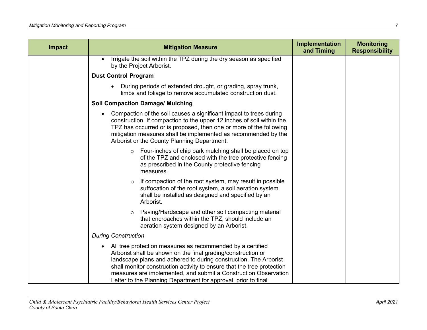| <b>Impact</b> | <b>Mitigation Measure</b>                                                                                                                                                                                                                                                                                                                                                                                                  | Implementation<br>and Timing | <b>Monitoring</b><br><b>Responsibility</b> |
|---------------|----------------------------------------------------------------------------------------------------------------------------------------------------------------------------------------------------------------------------------------------------------------------------------------------------------------------------------------------------------------------------------------------------------------------------|------------------------------|--------------------------------------------|
|               | Irrigate the soil within the TPZ during the dry season as specified<br>by the Project Arborist.                                                                                                                                                                                                                                                                                                                            |                              |                                            |
|               | <b>Dust Control Program</b>                                                                                                                                                                                                                                                                                                                                                                                                |                              |                                            |
|               | During periods of extended drought, or grading, spray trunk,<br>limbs and foliage to remove accumulated construction dust.                                                                                                                                                                                                                                                                                                 |                              |                                            |
|               | <b>Soil Compaction Damage/ Mulching</b>                                                                                                                                                                                                                                                                                                                                                                                    |                              |                                            |
|               | Compaction of the soil causes a significant impact to trees during<br>construction. If compaction to the upper 12 inches of soil within the<br>TPZ has occurred or is proposed, then one or more of the following<br>mitigation measures shall be implemented as recommended by the<br>Arborist or the County Planning Department.                                                                                         |                              |                                            |
|               | $\circ$ Four-inches of chip bark mulching shall be placed on top<br>of the TPZ and enclosed with the tree protective fencing<br>as prescribed in the County protective fencing<br>measures.                                                                                                                                                                                                                                |                              |                                            |
|               | If compaction of the root system, may result in possible<br>$\circ$<br>suffocation of the root system, a soil aeration system<br>shall be installed as designed and specified by an<br>Arborist.                                                                                                                                                                                                                           |                              |                                            |
|               | Paving/Hardscape and other soil compacting material<br>$\circ$<br>that encroaches within the TPZ, should include an<br>aeration system designed by an Arborist.                                                                                                                                                                                                                                                            |                              |                                            |
|               | <b>During Construction</b>                                                                                                                                                                                                                                                                                                                                                                                                 |                              |                                            |
|               | All tree protection measures as recommended by a certified<br>$\bullet$<br>Arborist shall be shown on the final grading/construction or<br>landscape plans and adhered to during construction. The Arborist<br>shall monitor construction activity to ensure that the tree protection<br>measures are implemented, and submit a Construction Observation<br>Letter to the Planning Department for approval, prior to final |                              |                                            |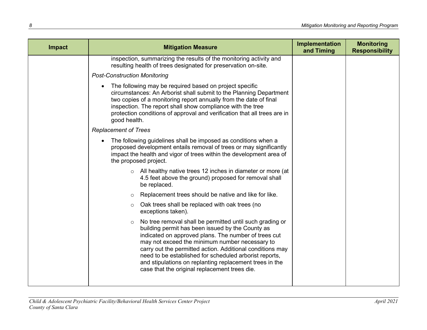| Impact | <b>Mitigation Measure</b>                                                                                                                                                                                                                                                                                                                                                                                                                                            | Implementation<br>and Timing | <b>Monitoring</b><br><b>Responsibility</b> |
|--------|----------------------------------------------------------------------------------------------------------------------------------------------------------------------------------------------------------------------------------------------------------------------------------------------------------------------------------------------------------------------------------------------------------------------------------------------------------------------|------------------------------|--------------------------------------------|
|        | inspection, summarizing the results of the monitoring activity and<br>resulting health of trees designated for preservation on-site.                                                                                                                                                                                                                                                                                                                                 |                              |                                            |
|        | <b>Post-Construction Monitoring</b>                                                                                                                                                                                                                                                                                                                                                                                                                                  |                              |                                            |
|        | The following may be required based on project specific<br>circumstances: An Arborist shall submit to the Planning Department<br>two copies of a monitoring report annually from the date of final<br>inspection. The report shall show compliance with the tree<br>protection conditions of approval and verification that all trees are in<br>good health.                                                                                                         |                              |                                            |
|        | <b>Replacement of Trees</b>                                                                                                                                                                                                                                                                                                                                                                                                                                          |                              |                                            |
|        | The following guidelines shall be imposed as conditions when a<br>$\bullet$<br>proposed development entails removal of trees or may significantly<br>impact the health and vigor of trees within the development area of<br>the proposed project.                                                                                                                                                                                                                    |                              |                                            |
|        | All healthy native trees 12 inches in diameter or more (at<br>4.5 feet above the ground) proposed for removal shall<br>be replaced.                                                                                                                                                                                                                                                                                                                                  |                              |                                            |
|        | Replacement trees should be native and like for like.<br>$\circ$                                                                                                                                                                                                                                                                                                                                                                                                     |                              |                                            |
|        | Oak trees shall be replaced with oak trees (no<br>$\circ$<br>exceptions taken).                                                                                                                                                                                                                                                                                                                                                                                      |                              |                                            |
|        | No tree removal shall be permitted until such grading or<br>$\circ$<br>building permit has been issued by the County as<br>indicated on approved plans. The number of trees cut<br>may not exceed the minimum number necessary to<br>carry out the permitted action. Additional conditions may<br>need to be established for scheduled arborist reports,<br>and stipulations on replanting replacement trees in the<br>case that the original replacement trees die. |                              |                                            |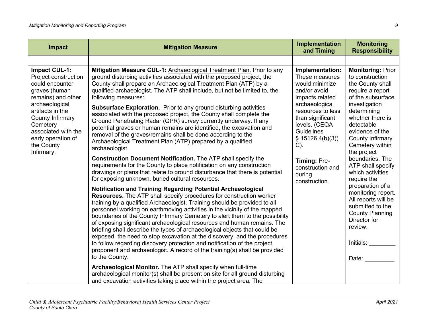| <b>Impact</b>                                                                                                                                                                                                                                         | <b>Mitigation Measure</b>                                                                                                                                                                                                                                                                                                                                                                                                                                                                                                                                                                                                                                                                                                                                                                                                                                                                                                                                                                                                                                                                                                                                                                                                                                                                                                                                                                                                                                                                                                                                                                                                                                                                                                                                                                                                                                             | Implementation<br>and Timing                                                                                                                                                                                                                                                         | <b>Monitoring</b><br><b>Responsibility</b>                                                                                                                                                                                                                                                                                                                                                                                                                                                                      |
|-------------------------------------------------------------------------------------------------------------------------------------------------------------------------------------------------------------------------------------------------------|-----------------------------------------------------------------------------------------------------------------------------------------------------------------------------------------------------------------------------------------------------------------------------------------------------------------------------------------------------------------------------------------------------------------------------------------------------------------------------------------------------------------------------------------------------------------------------------------------------------------------------------------------------------------------------------------------------------------------------------------------------------------------------------------------------------------------------------------------------------------------------------------------------------------------------------------------------------------------------------------------------------------------------------------------------------------------------------------------------------------------------------------------------------------------------------------------------------------------------------------------------------------------------------------------------------------------------------------------------------------------------------------------------------------------------------------------------------------------------------------------------------------------------------------------------------------------------------------------------------------------------------------------------------------------------------------------------------------------------------------------------------------------------------------------------------------------------------------------------------------------|--------------------------------------------------------------------------------------------------------------------------------------------------------------------------------------------------------------------------------------------------------------------------------------|-----------------------------------------------------------------------------------------------------------------------------------------------------------------------------------------------------------------------------------------------------------------------------------------------------------------------------------------------------------------------------------------------------------------------------------------------------------------------------------------------------------------|
|                                                                                                                                                                                                                                                       |                                                                                                                                                                                                                                                                                                                                                                                                                                                                                                                                                                                                                                                                                                                                                                                                                                                                                                                                                                                                                                                                                                                                                                                                                                                                                                                                                                                                                                                                                                                                                                                                                                                                                                                                                                                                                                                                       |                                                                                                                                                                                                                                                                                      |                                                                                                                                                                                                                                                                                                                                                                                                                                                                                                                 |
| <b>Impact CUL-1:</b><br>Project construction<br>could encounter<br>graves (human<br>remains) and other<br>archaeological<br>artifacts in the<br>County Infirmary<br>Cemetery<br>associated with the<br>early operation of<br>the County<br>Infirmary. | Mitigation Measure CUL-1: Archaeological Treatment Plan. Prior to any<br>ground disturbing activities associated with the proposed project, the<br>County shall prepare an Archaeological Treatment Plan (ATP) by a<br>qualified archaeologist. The ATP shall include, but not be limited to, the<br>following measures:<br><b>Subsurface Exploration.</b> Prior to any ground disturbing activities<br>associated with the proposed project, the County shall complete the<br>Ground Penetrating Radar (GPR) survey currently underway. If any<br>potential graves or human remains are identified, the excavation and<br>removal of the graves/remains shall be done according to the<br>Archaeological Treatment Plan (ATP) prepared by a qualified<br>archaeologist.<br><b>Construction Document Notification.</b> The ATP shall specify the<br>requirements for the County to place notification on any construction<br>drawings or plans that relate to ground disturbance that there is potential<br>for exposing unknown, buried cultural resources.<br>Notification and Training Regarding Potential Archaeological<br><b>Resources.</b> The ATP shall specify procedures for construction worker<br>training by a qualified Archaeologist. Training should be provided to all<br>personnel working on earthmoving activities in the vicinity of the mapped<br>boundaries of the County Infirmary Cemetery to alert them to the possibility<br>of exposing significant archaeological resources and human remains. The<br>briefing shall describe the types of archaeological objects that could be<br>exposed, the need to stop excavation at the discovery, and the procedures<br>to follow regarding discovery protection and notification of the project<br>proponent and archaeologist. A record of the training(s) shall be provided<br>to the County. | Implementation:<br>These measures<br>would minimize<br>and/or avoid<br>impacts related<br>archaeological<br>resources to less<br>than significant<br>levels. (CEQA<br><b>Guidelines</b><br>\$ 15126.4(b)(3)<br>$C$ ).<br>Timing: Pre-<br>construction and<br>during<br>construction. | <b>Monitoring: Prior</b><br>to construction<br>the County shall<br>require a report<br>of the subsurface<br>investigation<br>determining<br>whether there is<br>detectable<br>evidence of the<br>County Infirmary<br>Cemetery within<br>the project<br>boundaries. The<br>ATP shall specify<br>which activities<br>require the<br>preparation of a<br>monitoring report.<br>All reports will be<br>submitted to the<br><b>County Planning</b><br>Director for<br>review.<br>Initials: ____<br>Date: <b>Date</b> |
|                                                                                                                                                                                                                                                       | Archaeological Monitor. The ATP shall specify when full-time<br>archaeological monitor(s) shall be present on site for all ground disturbing<br>and excavation activities taking place within the project area. The                                                                                                                                                                                                                                                                                                                                                                                                                                                                                                                                                                                                                                                                                                                                                                                                                                                                                                                                                                                                                                                                                                                                                                                                                                                                                                                                                                                                                                                                                                                                                                                                                                                   |                                                                                                                                                                                                                                                                                      |                                                                                                                                                                                                                                                                                                                                                                                                                                                                                                                 |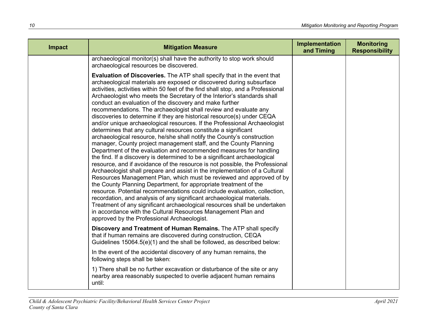| Impact | <b>Mitigation Measure</b>                                                                                                                                                                                                                                                                                                                                                                                                                                                                                                                                                                                                                                                                                                                                                                                                                                                                                                                                                                                                                                                                                                                                                                                                                                                                                                                                                                                                                                                                                                                                                                                                                      | Implementation<br>and Timing | <b>Monitoring</b><br><b>Responsibility</b> |
|--------|------------------------------------------------------------------------------------------------------------------------------------------------------------------------------------------------------------------------------------------------------------------------------------------------------------------------------------------------------------------------------------------------------------------------------------------------------------------------------------------------------------------------------------------------------------------------------------------------------------------------------------------------------------------------------------------------------------------------------------------------------------------------------------------------------------------------------------------------------------------------------------------------------------------------------------------------------------------------------------------------------------------------------------------------------------------------------------------------------------------------------------------------------------------------------------------------------------------------------------------------------------------------------------------------------------------------------------------------------------------------------------------------------------------------------------------------------------------------------------------------------------------------------------------------------------------------------------------------------------------------------------------------|------------------------------|--------------------------------------------|
|        | archaeological monitor(s) shall have the authority to stop work should<br>archaeological resources be discovered.                                                                                                                                                                                                                                                                                                                                                                                                                                                                                                                                                                                                                                                                                                                                                                                                                                                                                                                                                                                                                                                                                                                                                                                                                                                                                                                                                                                                                                                                                                                              |                              |                                            |
|        | <b>Evaluation of Discoveries.</b> The ATP shall specify that in the event that<br>archaeological materials are exposed or discovered during subsurface<br>activities, activities within 50 feet of the find shall stop, and a Professional<br>Archaeologist who meets the Secretary of the Interior's standards shall<br>conduct an evaluation of the discovery and make further<br>recommendations. The archaeologist shall review and evaluate any<br>discoveries to determine if they are historical resource(s) under CEQA<br>and/or unique archaeological resources. If the Professional Archaeologist<br>determines that any cultural resources constitute a significant<br>archaeological resource, he/she shall notify the County's construction<br>manager, County project management staff, and the County Planning<br>Department of the evaluation and recommended measures for handling<br>the find. If a discovery is determined to be a significant archaeological<br>resource, and if avoidance of the resource is not possible, the Professional<br>Archaeologist shall prepare and assist in the implementation of a Cultural<br>Resources Management Plan, which must be reviewed and approved of by<br>the County Planning Department, for appropriate treatment of the<br>resource. Potential recommendations could include evaluation, collection,<br>recordation, and analysis of any significant archaeological materials.<br>Treatment of any significant archaeological resources shall be undertaken<br>in accordance with the Cultural Resources Management Plan and<br>approved by the Professional Archaeologist. |                              |                                            |
|        | Discovery and Treatment of Human Remains. The ATP shall specify<br>that if human remains are discovered during construction, CEQA<br>Guidelines 15064.5(e)(1) and the shall be followed, as described below:                                                                                                                                                                                                                                                                                                                                                                                                                                                                                                                                                                                                                                                                                                                                                                                                                                                                                                                                                                                                                                                                                                                                                                                                                                                                                                                                                                                                                                   |                              |                                            |
|        | In the event of the accidental discovery of any human remains, the<br>following steps shall be taken:                                                                                                                                                                                                                                                                                                                                                                                                                                                                                                                                                                                                                                                                                                                                                                                                                                                                                                                                                                                                                                                                                                                                                                                                                                                                                                                                                                                                                                                                                                                                          |                              |                                            |
|        | 1) There shall be no further excavation or disturbance of the site or any<br>nearby area reasonably suspected to overlie adjacent human remains<br>until:                                                                                                                                                                                                                                                                                                                                                                                                                                                                                                                                                                                                                                                                                                                                                                                                                                                                                                                                                                                                                                                                                                                                                                                                                                                                                                                                                                                                                                                                                      |                              |                                            |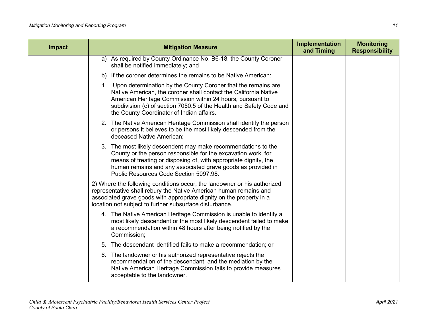| <b>Impact</b> | <b>Mitigation Measure</b>                                                                                                                                                                                                                                                                                             | Implementation<br>and Timing | <b>Monitoring</b><br><b>Responsibility</b> |
|---------------|-----------------------------------------------------------------------------------------------------------------------------------------------------------------------------------------------------------------------------------------------------------------------------------------------------------------------|------------------------------|--------------------------------------------|
|               | a) As required by County Ordinance No. B6-18, the County Coroner<br>shall be notified immediately; and                                                                                                                                                                                                                |                              |                                            |
|               | b) If the coroner determines the remains to be Native American:                                                                                                                                                                                                                                                       |                              |                                            |
|               | 1. Upon determination by the County Coroner that the remains are<br>Native American, the coroner shall contact the California Native<br>American Heritage Commission within 24 hours, pursuant to<br>subdivision (c) of section 7050.5 of the Health and Safety Code and<br>the County Coordinator of Indian affairs. |                              |                                            |
|               | 2. The Native American Heritage Commission shall identify the person<br>or persons it believes to be the most likely descended from the<br>deceased Native American;                                                                                                                                                  |                              |                                            |
|               | 3. The most likely descendent may make recommendations to the<br>County or the person responsible for the excavation work, for<br>means of treating or disposing of, with appropriate dignity, the<br>human remains and any associated grave goods as provided in<br>Public Resources Code Section 5097.98.           |                              |                                            |
|               | 2) Where the following conditions occur, the landowner or his authorized<br>representative shall rebury the Native American human remains and<br>associated grave goods with appropriate dignity on the property in a<br>location not subject to further subsurface disturbance.                                      |                              |                                            |
|               | 4. The Native American Heritage Commission is unable to identify a<br>most likely descendent or the most likely descendent failed to make<br>a recommendation within 48 hours after being notified by the<br>Commission;                                                                                              |                              |                                            |
|               | 5. The descendant identified fails to make a recommendation; or                                                                                                                                                                                                                                                       |                              |                                            |
|               | 6. The landowner or his authorized representative rejects the<br>recommendation of the descendant, and the mediation by the<br>Native American Heritage Commission fails to provide measures<br>acceptable to the landowner.                                                                                          |                              |                                            |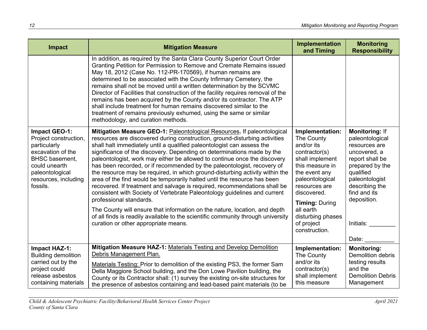| <b>Impact</b>                                                                                                                                                                | <b>Mitigation Measure</b>                                                                                                                                                                                                                                                                                                                                                                                                                                                                                                                                                                                                                                                                                                                                                                                                                                                                                                                                                                                                    | <b>Implementation</b><br>and Timing                                                                                                                                                                                                                              | <b>Monitoring</b><br><b>Responsibility</b>                                                                                                                                                                            |
|------------------------------------------------------------------------------------------------------------------------------------------------------------------------------|------------------------------------------------------------------------------------------------------------------------------------------------------------------------------------------------------------------------------------------------------------------------------------------------------------------------------------------------------------------------------------------------------------------------------------------------------------------------------------------------------------------------------------------------------------------------------------------------------------------------------------------------------------------------------------------------------------------------------------------------------------------------------------------------------------------------------------------------------------------------------------------------------------------------------------------------------------------------------------------------------------------------------|------------------------------------------------------------------------------------------------------------------------------------------------------------------------------------------------------------------------------------------------------------------|-----------------------------------------------------------------------------------------------------------------------------------------------------------------------------------------------------------------------|
|                                                                                                                                                                              | In addition, as required by the Santa Clara County Superior Court Order<br>Granting Petition for Permission to Remove and Cremate Remains issued<br>May 18, 2012 (Case No. 112-PR-170569), if human remains are<br>determined to be associated with the County Infirmary Cemetery, the<br>remains shall not be moved until a written determination by the SCVMC<br>Director of Facilities that construction of the facility requires removal of the<br>remains has been acquired by the County and/or its contractor. The ATP<br>shall include treatment for human remains discovered similar to the<br>treatment of remains previously exhumed, using the same or similar<br>methodology, and curation methods.                                                                                                                                                                                                                                                                                                             |                                                                                                                                                                                                                                                                  |                                                                                                                                                                                                                       |
| Impact GEO-1:<br>Project construction,<br>particularly<br>excavation of the<br><b>BHSC</b> basement,<br>could unearth<br>paleontological<br>resources, including<br>fossils. | Mitigation Measure GEO-1: Paleontological Resources. If paleontological<br>resources are discovered during construction, ground-disturbing activities<br>shall halt immediately until a qualified paleontologist can assess the<br>significance of the discovery. Depending on determinations made by the<br>paleontologist, work may either be allowed to continue once the discovery<br>has been recorded, or if recommended by the paleontologist, recovery of<br>the resource may be required, in which ground-disturbing activity within the<br>area of the find would be temporarily halted until the resource has been<br>recovered. If treatment and salvage is required, recommendations shall be<br>consistent with Society of Vertebrate Paleontology guidelines and current<br>professional standards.<br>The County will ensure that information on the nature, location, and depth<br>of all finds is readily available to the scientific community through university<br>curation or other appropriate means. | Implementation:<br>The County<br>and/or its<br>contractor(s)<br>shall implement<br>this measure in<br>the event any<br>paleontological<br>resources are<br>discovered.<br><b>Timing: During</b><br>all earth<br>disturbing phases<br>of project<br>construction. | <b>Monitoring: If</b><br>paleontological<br>resources are<br>uncovered, a<br>report shall be<br>prepared by the<br>qualified<br>paleontologist<br>describing the<br>find and its<br>deposition.<br>Initials:<br>Date: |
| <b>Impact HAZ-1:</b><br><b>Building demolition</b><br>carried out by the<br>project could<br>release asbestos<br>containing materials                                        | Mitigation Measure HAZ-1: Materials Testing and Develop Demolition<br>Debris Management Plan.<br>Materials Testing: Prior to demolition of the existing PS3, the former Sam<br>Della Maggiore School building, and the Don Lowe Pavilion building, the<br>County or its Contractor shall: (1) survey the existing on-site structures for<br>the presence of asbestos containing and lead-based paint materials (to be                                                                                                                                                                                                                                                                                                                                                                                                                                                                                                                                                                                                        | Implementation:<br>The County<br>and/or its<br>contractor(s)<br>shall implement<br>this measure                                                                                                                                                                  | <b>Monitoring:</b><br><b>Demolition debris</b><br>testing results<br>and the<br><b>Demolition Debris</b><br>Management                                                                                                |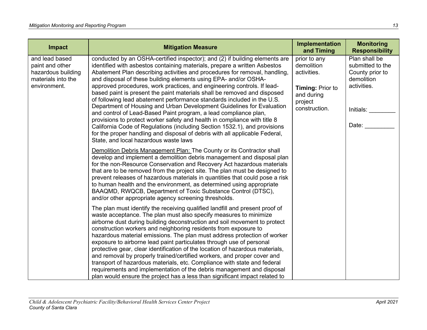| <b>Impact</b>                                                                                 | <b>Mitigation Measure</b>                                                                                                                                                                                                                                                                                                                                                                                                                                                                                                                                                                                                                                                                                                                                                                                                                                                                                                                                                 | Implementation<br>and Timing                                                                                   | <b>Monitoring</b><br><b>Responsibility</b>                                                                     |
|-----------------------------------------------------------------------------------------------|---------------------------------------------------------------------------------------------------------------------------------------------------------------------------------------------------------------------------------------------------------------------------------------------------------------------------------------------------------------------------------------------------------------------------------------------------------------------------------------------------------------------------------------------------------------------------------------------------------------------------------------------------------------------------------------------------------------------------------------------------------------------------------------------------------------------------------------------------------------------------------------------------------------------------------------------------------------------------|----------------------------------------------------------------------------------------------------------------|----------------------------------------------------------------------------------------------------------------|
| and lead based<br>paint and other<br>hazardous building<br>materials into the<br>environment. | conducted by an OSHA-certified inspector); and (2) if building elements are<br>identified with asbestos containing materials, prepare a written Asbestos<br>Abatement Plan describing activities and procedures for removal, handling,<br>and disposal of these building elements using EPA- and/or OSHA-<br>approved procedures, work practices, and engineering controls. If lead-<br>based paint is present the paint materials shall be removed and disposed<br>of following lead abatement performance standards included in the U.S.<br>Department of Housing and Urban Development Guidelines for Evaluation<br>and control of Lead-Based Paint program, a lead compliance plan,<br>provisions to protect worker safety and health in compliance with title 8<br>California Code of Regulations (including Section 1532.1), and provisions<br>for the proper handling and disposal of debris with all applicable Federal,<br>State, and local hazardous waste laws | prior to any<br>demolition<br>activities.<br><b>Timing: Prior to</b><br>and during<br>project<br>construction. | Plan shall be<br>submitted to the<br>County prior to<br>demolition<br>activities.<br>Initials: $\_\_$<br>Date: |
|                                                                                               | Demolition Debris Management Plan: The County or its Contractor shall<br>develop and implement a demolition debris management and disposal plan<br>for the non-Resource Conservation and Recovery Act hazardous materials<br>that are to be removed from the project site. The plan must be designed to<br>prevent releases of hazardous materials in quantities that could pose a risk<br>to human health and the environment, as determined using appropriate<br>BAAQMD, RWQCB, Department of Toxic Substance Control (DTSC),<br>and/or other appropriate agency screening thresholds.                                                                                                                                                                                                                                                                                                                                                                                  |                                                                                                                |                                                                                                                |
|                                                                                               | The plan must identify the receiving qualified landfill and present proof of<br>waste acceptance. The plan must also specify measures to minimize<br>airborne dust during building deconstruction and soil movement to protect<br>construction workers and neighboring residents from exposure to<br>hazardous material emissions. The plan must address protection of worker<br>exposure to airborne lead paint particulates through use of personal<br>protective gear, clear identification of the location of hazardous materials,<br>and removal by properly trained/certified workers, and proper cover and<br>transport of hazardous materials, etc. Compliance with state and federal<br>requirements and implementation of the debris management and disposal<br>plan would ensure the project has a less than significant impact related to                                                                                                                     |                                                                                                                |                                                                                                                |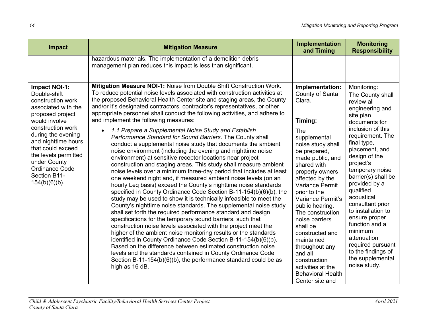| <b>Impact</b>                                                                                                                                                                                                                                                                                              | <b>Mitigation Measure</b>                                                                                                                                                                                                                                                                                                                                                                                                                                                                                                                                                                                                                                                                                                                                                                                                                                                                                                                                                                                                                                                                                                                                                                                                                                                                                                                                                                                                                                                                                                                                                                                                                                                                                                                                                                                                     | Implementation<br>and Timing                                                                                                                                                                                                                                                                                                                                                                                                                                                              | <b>Monitoring</b><br><b>Responsibility</b>                                                                                                                                                                                                                                                                                                                                                                                                                                         |
|------------------------------------------------------------------------------------------------------------------------------------------------------------------------------------------------------------------------------------------------------------------------------------------------------------|-------------------------------------------------------------------------------------------------------------------------------------------------------------------------------------------------------------------------------------------------------------------------------------------------------------------------------------------------------------------------------------------------------------------------------------------------------------------------------------------------------------------------------------------------------------------------------------------------------------------------------------------------------------------------------------------------------------------------------------------------------------------------------------------------------------------------------------------------------------------------------------------------------------------------------------------------------------------------------------------------------------------------------------------------------------------------------------------------------------------------------------------------------------------------------------------------------------------------------------------------------------------------------------------------------------------------------------------------------------------------------------------------------------------------------------------------------------------------------------------------------------------------------------------------------------------------------------------------------------------------------------------------------------------------------------------------------------------------------------------------------------------------------------------------------------------------------|-------------------------------------------------------------------------------------------------------------------------------------------------------------------------------------------------------------------------------------------------------------------------------------------------------------------------------------------------------------------------------------------------------------------------------------------------------------------------------------------|------------------------------------------------------------------------------------------------------------------------------------------------------------------------------------------------------------------------------------------------------------------------------------------------------------------------------------------------------------------------------------------------------------------------------------------------------------------------------------|
|                                                                                                                                                                                                                                                                                                            | hazardous materials. The implementation of a demolition debris<br>management plan reduces this impact is less than significant.                                                                                                                                                                                                                                                                                                                                                                                                                                                                                                                                                                                                                                                                                                                                                                                                                                                                                                                                                                                                                                                                                                                                                                                                                                                                                                                                                                                                                                                                                                                                                                                                                                                                                               |                                                                                                                                                                                                                                                                                                                                                                                                                                                                                           |                                                                                                                                                                                                                                                                                                                                                                                                                                                                                    |
| Impact NOI-1:<br>Double-shift<br>construction work<br>associated with the<br>proposed project<br>would involve<br>construction work<br>during the evening<br>and nighttime hours<br>that could exceed<br>the levels permitted<br>under County<br><b>Ordinance Code</b><br>Section B11-<br>$154(b)(6)(b)$ . | Mitigation Measure NOI-1: Noise from Double Shift Construction Work.<br>To reduce potential noise levels associated with construction activities at<br>the proposed Behavioral Health Center site and staging areas, the County<br>and/or it's designated contractors, contractor's representatives, or other<br>appropriate personnel shall conduct the following activities, and adhere to<br>and implement the following measures:<br>1.1 Prepare a Supplemental Noise Study and Establish<br>$\bullet$<br>Performance Standard for Sound Barriers. The County shall<br>conduct a supplemental noise study that documents the ambient<br>noise environment (including the evening and nighttime noise<br>environment) at sensitive receptor locations near project<br>construction and staging areas. This study shall measure ambient<br>noise levels over a minimum three-day period that includes at least<br>one weekend night and, if measured ambient noise levels (on an<br>hourly Leq basis) exceed the County's nighttime noise standards<br>specified in County Ordinance Code Section B-11-154(b)(6)(b), the<br>study may be used to show it is technically infeasible to meet the<br>County's nighttime noise standards. The supplemental noise study<br>shall set forth the required performance standard and design<br>specifications for the temporary sound barriers, such that<br>construction noise levels associated with the project meet the<br>higher of the ambient noise monitoring results or the standards<br>identified in County Ordinance Code Section B-11-154(b)(6)(b).<br>Based on the difference between estimated construction noise<br>levels and the standards contained in County Ordinance Code<br>Section B-11-154(b)(6)(b), the performance standard could be as<br>high as 16 dB. | Implementation:<br>County of Santa<br>Clara.<br>Timing:<br><b>The</b><br>supplemental<br>noise study shall<br>be prepared,<br>made public, and<br>shared with<br>property owners<br>affected by the<br><b>Variance Permit</b><br>prior to the<br>Variance Permit's<br>public hearing.<br>The construction<br>noise barriers<br>shall be<br>constructed and<br>maintained<br>throughout any<br>and all<br>construction<br>activities at the<br><b>Behavioral Health</b><br>Center site and | Monitoring:<br>The County shall<br>review all<br>engineering and<br>site plan<br>documents for<br>inclusion of this<br>requirement. The<br>final type,<br>placement, and<br>design of the<br>project's<br>temporary noise<br>barrier(s) shall be<br>provided by a<br>qualified<br>acoustical<br>consultant prior<br>to installation to<br>ensure proper<br>function and a<br>minimum<br>attenuation<br>required pursuant<br>to the findings of<br>the supplemental<br>noise study. |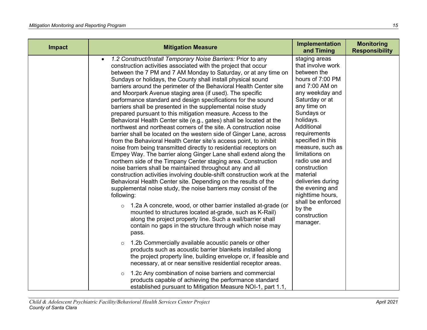| <b>Impact</b> | <b>Mitigation Measure</b>                                                                                                                                                                                                                                                                                                                                                                                                                                                                                                                                                                                                                                                                                                                                                                                                                                                                                                                                                                                                                                                                                                                                                                                                                                                                                                                                                                                                                                                                                                                                                                                                                                                 | <b>Implementation</b><br>and Timing                                                                                                                                                                                                                                                                                                                                                                                                 | <b>Monitoring</b><br><b>Responsibility</b> |
|---------------|---------------------------------------------------------------------------------------------------------------------------------------------------------------------------------------------------------------------------------------------------------------------------------------------------------------------------------------------------------------------------------------------------------------------------------------------------------------------------------------------------------------------------------------------------------------------------------------------------------------------------------------------------------------------------------------------------------------------------------------------------------------------------------------------------------------------------------------------------------------------------------------------------------------------------------------------------------------------------------------------------------------------------------------------------------------------------------------------------------------------------------------------------------------------------------------------------------------------------------------------------------------------------------------------------------------------------------------------------------------------------------------------------------------------------------------------------------------------------------------------------------------------------------------------------------------------------------------------------------------------------------------------------------------------------|-------------------------------------------------------------------------------------------------------------------------------------------------------------------------------------------------------------------------------------------------------------------------------------------------------------------------------------------------------------------------------------------------------------------------------------|--------------------------------------------|
|               | 1.2 Construct/Install Temporary Noise Barriers: Prior to any<br>construction activities associated with the project that occur<br>between the 7 PM and 7 AM Monday to Saturday, or at any time on<br>Sundays or holidays, the County shall install physical sound<br>barriers around the perimeter of the Behavioral Health Center site<br>and Moorpark Avenue staging area (if used). The specific<br>performance standard and design specifications for the sound<br>barriers shall be presented in the supplemental noise study<br>prepared pursuant to this mitigation measure. Access to the<br>Behavioral Health Center site (e.g., gates) shall be located at the<br>northwest and northeast corners of the site. A construction noise<br>barrier shall be located on the western side of Ginger Lane, across<br>from the Behavioral Health Center site's access point, to inhibit<br>noise from being transmitted directly to residential receptors on<br>Empey Way. The barrier along Ginger Lane shall extend along the<br>northern side of the Timpany Center staging area. Construction<br>noise barriers shall be maintained throughout any and all<br>construction activities involving double-shift construction work at the<br>Behavioral Health Center site. Depending on the results of the<br>supplemental noise study, the noise barriers may consist of the<br>following:<br>1.2a A concrete, wood, or other barrier installed at-grade (or<br>$\circ$<br>mounted to structures located at-grade, such as K-Rail)<br>along the project property line. Such a wall/barrier shall<br>contain no gaps in the structure through which noise may<br>pass. | staging areas<br>that involve work<br>between the<br>hours of 7:00 PM<br>and 7:00 AM on<br>any weekday and<br>Saturday or at<br>any time on<br>Sundays or<br>holidays.<br>Additional<br>requirements<br>specified in this<br>measure, such as<br>limitations on<br>radio use and<br>construction<br>material<br>deliveries during<br>the evening and<br>nighttime hours,<br>shall be enforced<br>by the<br>construction<br>manager. |                                            |
|               | 1.2b Commercially available acoustic panels or other<br>$\circ$<br>products such as acoustic barrier blankets installed along<br>the project property line, building envelope or, if feasible and<br>necessary, at or near sensitive residential receptor areas.                                                                                                                                                                                                                                                                                                                                                                                                                                                                                                                                                                                                                                                                                                                                                                                                                                                                                                                                                                                                                                                                                                                                                                                                                                                                                                                                                                                                          |                                                                                                                                                                                                                                                                                                                                                                                                                                     |                                            |
|               | 1.2c Any combination of noise barriers and commercial<br>$\circ$<br>products capable of achieving the performance standard<br>established pursuant to Mitigation Measure NOI-1, part 1.1,                                                                                                                                                                                                                                                                                                                                                                                                                                                                                                                                                                                                                                                                                                                                                                                                                                                                                                                                                                                                                                                                                                                                                                                                                                                                                                                                                                                                                                                                                 |                                                                                                                                                                                                                                                                                                                                                                                                                                     |                                            |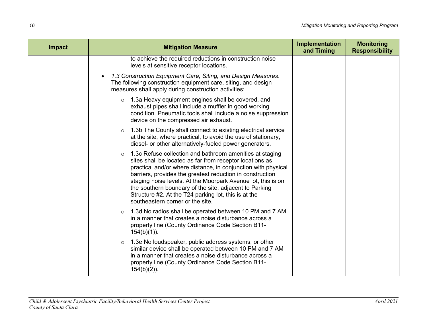| <b>Impact</b> | <b>Mitigation Measure</b>                                                                                                                                                                                                                                                                                                                                                                                                                                                           | Implementation<br>and Timing | <b>Monitoring</b><br><b>Responsibility</b> |
|---------------|-------------------------------------------------------------------------------------------------------------------------------------------------------------------------------------------------------------------------------------------------------------------------------------------------------------------------------------------------------------------------------------------------------------------------------------------------------------------------------------|------------------------------|--------------------------------------------|
|               | to achieve the required reductions in construction noise<br>levels at sensitive receptor locations.                                                                                                                                                                                                                                                                                                                                                                                 |                              |                                            |
|               | 1.3 Construction Equipment Care, Siting, and Design Measures.<br>The following construction equipment care, siting, and design<br>measures shall apply during construction activities:                                                                                                                                                                                                                                                                                              |                              |                                            |
|               | 1.3a Heavy equipment engines shall be covered, and<br>$\circ$<br>exhaust pipes shall include a muffler in good working<br>condition. Pneumatic tools shall include a noise suppression<br>device on the compressed air exhaust.                                                                                                                                                                                                                                                     |                              |                                            |
|               | 1.3b The County shall connect to existing electrical service<br>$\circ$<br>at the site, where practical, to avoid the use of stationary,<br>diesel- or other alternatively-fueled power generators.                                                                                                                                                                                                                                                                                 |                              |                                            |
|               | 1.3c Refuse collection and bathroom amenities at staging<br>$\circ$<br>sites shall be located as far from receptor locations as<br>practical and/or where distance, in conjunction with physical<br>barriers, provides the greatest reduction in construction<br>staging noise levels. At the Moorpark Avenue lot, this is on<br>the southern boundary of the site, adjacent to Parking<br>Structure #2. At the T24 parking lot, this is at the<br>southeastern corner or the site. |                              |                                            |
|               | 1.3d No radios shall be operated between 10 PM and 7 AM<br>$\circ$<br>in a manner that creates a noise disturbance across a<br>property line (County Ordinance Code Section B11-<br>$154(b)(1)$ ).                                                                                                                                                                                                                                                                                  |                              |                                            |
|               | 1.3e No loudspeaker, public address systems, or other<br>$\circ$<br>similar device shall be operated between 10 PM and 7 AM<br>in a manner that creates a noise disturbance across a<br>property line (County Ordinance Code Section B11-<br>$154(b)(2)$ ).                                                                                                                                                                                                                         |                              |                                            |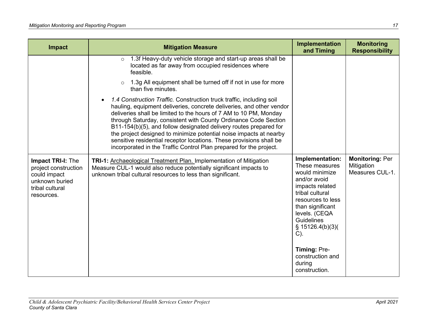| <b>Impact</b>                                                                                                | <b>Mitigation Measure</b>                                                                                                                                                                                                                                                                                                                                                                                                                                                                                                                                                    | Implementation<br>and Timing                                                                                                                                                                                            | <b>Monitoring</b><br><b>Responsibility</b>              |
|--------------------------------------------------------------------------------------------------------------|------------------------------------------------------------------------------------------------------------------------------------------------------------------------------------------------------------------------------------------------------------------------------------------------------------------------------------------------------------------------------------------------------------------------------------------------------------------------------------------------------------------------------------------------------------------------------|-------------------------------------------------------------------------------------------------------------------------------------------------------------------------------------------------------------------------|---------------------------------------------------------|
|                                                                                                              | 1.3f Heavy-duty vehicle storage and start-up areas shall be<br>$\circ$<br>located as far away from occupied residences where<br>feasible.                                                                                                                                                                                                                                                                                                                                                                                                                                    |                                                                                                                                                                                                                         |                                                         |
|                                                                                                              | 1.3g All equipment shall be turned off if not in use for more<br>$\circ$<br>than five minutes.                                                                                                                                                                                                                                                                                                                                                                                                                                                                               |                                                                                                                                                                                                                         |                                                         |
|                                                                                                              | 1.4 Construction Traffic. Construction truck traffic, including soil<br>hauling, equipment deliveries, concrete deliveries, and other vendor<br>deliveries shall be limited to the hours of 7 AM to 10 PM, Monday<br>through Saturday, consistent with County Ordinance Code Section<br>B11-154(b)(5), and follow designated delivery routes prepared for<br>the project designed to minimize potential noise impacts at nearby<br>sensitive residential receptor locations. These provisions shall be<br>incorporated in the Traffic Control Plan prepared for the project. |                                                                                                                                                                                                                         |                                                         |
| Impact TRI-I: The<br>project construction<br>could impact<br>unknown buried<br>tribal cultural<br>resources. | TRI-1: Archaeological Treatment Plan. Implementation of Mitigation<br>Measure CUL-1 would also reduce potentially significant impacts to<br>unknown tribal cultural resources to less than significant.                                                                                                                                                                                                                                                                                                                                                                      | Implementation:<br>These measures<br>would minimize<br>and/or avoid<br>impacts related<br>tribal cultural<br>resources to less<br>than significant<br>levels. (CEQA<br><b>Guidelines</b><br>\$ 15126.4(b)(3)(<br>$C$ ). | <b>Monitoring: Per</b><br>Mitigation<br>Measures CUL-1. |
|                                                                                                              |                                                                                                                                                                                                                                                                                                                                                                                                                                                                                                                                                                              | <b>Timing: Pre-</b><br>construction and<br>during<br>construction.                                                                                                                                                      |                                                         |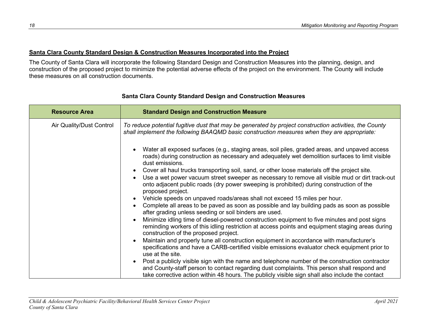## **Santa Clara County Standard Design & Construction Measures Incorporated into the Project**

The County of Santa Clara will incorporate the following Standard Design and Construction Measures into the planning, design, and construction of the proposed project to minimize the potential adverse effects of the project on the environment. The County will include these measures on all construction documents.

| <b>Resource Area</b>     | <b>Standard Design and Construction Measure</b>                                                                                                                                                                                                                                                                  |
|--------------------------|------------------------------------------------------------------------------------------------------------------------------------------------------------------------------------------------------------------------------------------------------------------------------------------------------------------|
| Air Quality/Dust Control | To reduce potential fugitive dust that may be generated by project construction activities, the County<br>shall implement the following BAAQMD basic construction measures when they are appropriate:                                                                                                            |
|                          | Water all exposed surfaces (e.g., staging areas, soil piles, graded areas, and unpaved access<br>roads) during construction as necessary and adequately wet demolition surfaces to limit visible<br>dust emissions.                                                                                              |
|                          | Cover all haul trucks transporting soil, sand, or other loose materials off the project site.<br>Use a wet power vacuum street sweeper as necessary to remove all visible mud or dirt track-out<br>onto adjacent public roads (dry power sweeping is prohibited) during construction of the<br>proposed project. |
|                          | Vehicle speeds on unpaved roads/areas shall not exceed 15 miles per hour.<br>Complete all areas to be paved as soon as possible and lay building pads as soon as possible<br>after grading unless seeding or soil binders are used.                                                                              |
|                          | Minimize idling time of diesel-powered construction equipment to five minutes and post signs<br>reminding workers of this idling restriction at access points and equipment staging areas during<br>construction of the proposed project.                                                                        |
|                          | Maintain and properly tune all construction equipment in accordance with manufacturer's<br>specifications and have a CARB-certified visible emissions evaluator check equipment prior to<br>use at the site.                                                                                                     |
|                          | Post a publicly visible sign with the name and telephone number of the construction contractor<br>and County-staff person to contact regarding dust complaints. This person shall respond and<br>take corrective action within 48 hours. The publicly visible sign shall also include the contact                |

## **Santa Clara County Standard Design and Construction Measures**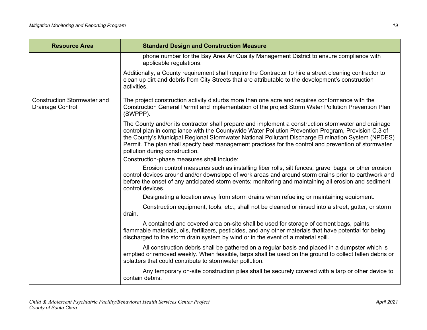| <b>Resource Area</b>                                          | <b>Standard Design and Construction Measure</b>                                                                                                                                                                                                                                                                                                                                                                                                             |
|---------------------------------------------------------------|-------------------------------------------------------------------------------------------------------------------------------------------------------------------------------------------------------------------------------------------------------------------------------------------------------------------------------------------------------------------------------------------------------------------------------------------------------------|
|                                                               | phone number for the Bay Area Air Quality Management District to ensure compliance with<br>applicable regulations.                                                                                                                                                                                                                                                                                                                                          |
|                                                               | Additionally, a County requirement shall require the Contractor to hire a street cleaning contractor to<br>clean up dirt and debris from City Streets that are attributable to the development's construction<br>activities.                                                                                                                                                                                                                                |
| <b>Construction Stormwater and</b><br><b>Drainage Control</b> | The project construction activity disturbs more than one acre and requires conformance with the<br>Construction General Permit and implementation of the project Storm Water Pollution Prevention Plan<br>(SWPPP).                                                                                                                                                                                                                                          |
|                                                               | The County and/or its contractor shall prepare and implement a construction stormwater and drainage<br>control plan in compliance with the Countywide Water Pollution Prevention Program, Provision C.3 of<br>the County's Municipal Regional Stormwater National Pollutant Discharge Elimination System (NPDES)<br>Permit. The plan shall specify best management practices for the control and prevention of stormwater<br>pollution during construction. |
|                                                               | Construction-phase measures shall include:                                                                                                                                                                                                                                                                                                                                                                                                                  |
|                                                               | Erosion control measures such as installing fiber rolls, silt fences, gravel bags, or other erosion<br>control devices around and/or downslope of work areas and around storm drains prior to earthwork and<br>before the onset of any anticipated storm events; monitoring and maintaining all erosion and sediment<br>control devices.                                                                                                                    |
|                                                               | Designating a location away from storm drains when refueling or maintaining equipment.                                                                                                                                                                                                                                                                                                                                                                      |
|                                                               | Construction equipment, tools, etc., shall not be cleaned or rinsed into a street, gutter, or storm<br>drain.                                                                                                                                                                                                                                                                                                                                               |
|                                                               | A contained and covered area on-site shall be used for storage of cement bags, paints,<br>flammable materials, oils, fertilizers, pesticides, and any other materials that have potential for being<br>discharged to the storm drain system by wind or in the event of a material spill.                                                                                                                                                                    |
|                                                               | All construction debris shall be gathered on a regular basis and placed in a dumpster which is<br>emptied or removed weekly. When feasible, tarps shall be used on the ground to collect fallen debris or<br>splatters that could contribute to stormwater pollution.                                                                                                                                                                                       |
|                                                               | Any temporary on-site construction piles shall be securely covered with a tarp or other device to<br>contain debris.                                                                                                                                                                                                                                                                                                                                        |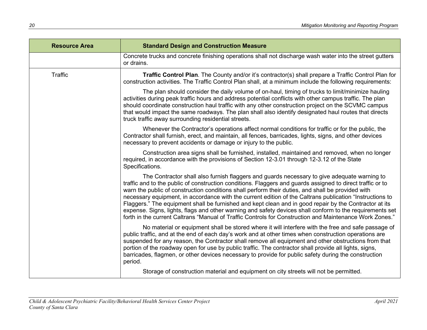| <b>Resource Area</b> | <b>Standard Design and Construction Measure</b>                                                                                                                                                                                                                                                                                                                                                                                                                                                                                                                                                                                                                                                                                                             |
|----------------------|-------------------------------------------------------------------------------------------------------------------------------------------------------------------------------------------------------------------------------------------------------------------------------------------------------------------------------------------------------------------------------------------------------------------------------------------------------------------------------------------------------------------------------------------------------------------------------------------------------------------------------------------------------------------------------------------------------------------------------------------------------------|
|                      | Concrete trucks and concrete finishing operations shall not discharge wash water into the street gutters<br>or drains.                                                                                                                                                                                                                                                                                                                                                                                                                                                                                                                                                                                                                                      |
| <b>Traffic</b>       | Traffic Control Plan. The County and/or it's contractor(s) shall prepare a Traffic Control Plan for<br>construction activities. The Traffic Control Plan shall, at a minimum include the following requirements:                                                                                                                                                                                                                                                                                                                                                                                                                                                                                                                                            |
|                      | The plan should consider the daily volume of on-haul, timing of trucks to limit/minimize hauling<br>activities during peak traffic hours and address potential conflicts with other campus traffic. The plan<br>should coordinate construction haul traffic with any other construction project on the SCVMC campus<br>that would impact the same roadways. The plan shall also identify designated haul routes that directs<br>truck traffic away surrounding residential streets.                                                                                                                                                                                                                                                                         |
|                      | Whenever the Contractor's operations affect normal conditions for traffic or for the public, the<br>Contractor shall furnish, erect, and maintain, all fences, barricades, lights, signs, and other devices<br>necessary to prevent accidents or damage or injury to the public.                                                                                                                                                                                                                                                                                                                                                                                                                                                                            |
|                      | Construction area signs shall be furnished, installed, maintained and removed, when no longer<br>required, in accordance with the provisions of Section 12-3.01 through 12-3.12 of the State<br>Specifications.                                                                                                                                                                                                                                                                                                                                                                                                                                                                                                                                             |
|                      | The Contractor shall also furnish flaggers and guards necessary to give adequate warning to<br>traffic and to the public of construction conditions. Flaggers and guards assigned to direct traffic or to<br>warn the public of construction conditions shall perform their duties, and shall be provided with<br>necessary equipment, in accordance with the current edition of the Caltrans publication "Instructions to<br>Flaggers." The equipment shall be furnished and kept clean and in good repair by the Contractor at its<br>expense. Signs, lights, flags and other warning and safety devices shall conform to the requirements set<br>forth in the current Caltrans "Manual of Traffic Controls for Construction and Maintenance Work Zones." |
|                      | No material or equipment shall be stored where it will interfere with the free and safe passage of<br>public traffic, and at the end of each day's work and at other times when construction operations are<br>suspended for any reason, the Contractor shall remove all equipment and other obstructions from that<br>portion of the roadway open for use by public traffic. The contractor shall provide all lights, signs,<br>barricades, flagmen, or other devices necessary to provide for public safety during the construction<br>period.                                                                                                                                                                                                            |
|                      | Storage of construction material and equipment on city streets will not be permitted.                                                                                                                                                                                                                                                                                                                                                                                                                                                                                                                                                                                                                                                                       |